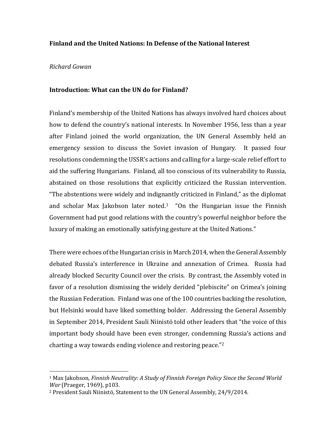## **Finland and the United Nations: In Defense of the National Interest**

## *Richard Gowan*

l

## **Introduction: What can the UN do for Finland?**

Finland's membership of the United Nations has always involved hard choices about how to defend the country's national interests. In November 1956, less than a year after Finland joined the world organization, the UN General Assembly held an emergency session to discuss the Soviet invasion of Hungary. It passed four resolutions condemning the USSR's actions and calling for a large-scale relief effort to aid the suffering Hungarians. Finland, all too conscious of its vulnerability to Russia, abstained on those resolutions that explicitly criticized the Russian intervention. "The abstentions were widely and indignantly criticized in Finland," as the diplomat and scholar Max Jakobson later noted.<sup>1</sup> "On the Hungarian issue the Finnish Government had put good relations with the country's powerful neighbor before the luxury of making an emotionally satisfying gesture at the United Nations."

There were echoes of the Hungarian crisis in March 2014, when the General Assembly debated Russia's interference in Ukraine and annexation of Crimea. Russia had already blocked Security Council over the crisis. By contrast, the Assembly voted in favor of a resolution dismissing the widely derided "plebiscite" on Crimea's joining the Russian Federation. Finland was one of the 100 countries backing the resolution, but Helsinki would have liked something bolder. Addressing the General Assembly in September 2014, President Sauli Niinistö told other leaders that "the voice of this important body should have been even stronger, condemning Russia's actions and charting a way towards ending violence and restoring peace."<sup>2</sup>

<sup>1</sup> Max Jakobson, *Finnish Neutrality: A Study of Finnish Foreign Policy Since the Second World War* (Praeger, 1969), p103.

<sup>2</sup> President Sauli Niinistö, Statement to the UN General Assembly, 24/9/2014.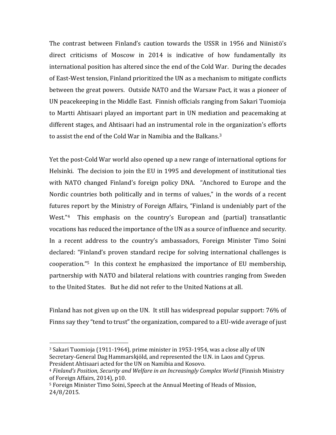The contrast between Finland's caution towards the USSR in 1956 and Niinistö's direct criticisms of Moscow in 2014 is indicative of how fundamentally its international position has altered since the end of the Cold War. During the decades of East-West tension, Finland prioritized the UN as a mechanism to mitigate conflicts between the great powers. Outside NATO and the Warsaw Pact, it was a pioneer of UN peacekeeping in the Middle East. Finnish officials ranging from Sakari Tuomioja to Martti Ahtisaari played an important part in UN mediation and peacemaking at different stages, and Ahtisaari had an instrumental role in the organization's efforts to assist the end of the Cold War in Namibia and the Balkans.<sup>3</sup>

Yet the post-Cold War world also opened up a new range of international options for Helsinki. The decision to join the EU in 1995 and development of institutional ties with NATO changed Finland's foreign policy DNA. "Anchored to Europe and the Nordic countries both politically and in terms of values," in the words of a recent futures report by the Ministry of Foreign Affairs, "Finland is undeniably part of the West."<sup>4</sup> This emphasis on the country's European and (partial) transatlantic vocations has reduced the importance of the UN as a source of influence and security. In a recent address to the country's ambassadors, Foreign Minister Timo Soini declared: "Finland's proven standard recipe for solving international challenges is cooperation."5 In this context he emphasized the importance of EU membership, partnership with NATO and bilateral relations with countries ranging from Sweden to the United States. But he did not refer to the United Nations at all.

Finland has not given up on the UN. It still has widespread popular support: 76% of Finns say they "tend to trust" the organization, compared to a EU-wide average of just

<sup>3</sup> Sakari Tuomioja (1911-1964), prime minister in 1953-1954, was a close ally of UN Secretary-General Dag Hammarskjöld, and represented the U.N. in Laos and Cyprus. President Ahtisaari acted for the UN on Namibia and Kosovo.

<sup>4</sup> *Finland's Position, Security and Welfare in an Increasingly Complex World* (Finnish Ministry of Foreign Affairs, 2014), p10.

<sup>5</sup> Foreign Minister Timo Soini, Speech at the Annual Meeting of Heads of Mission, 24/8/2015.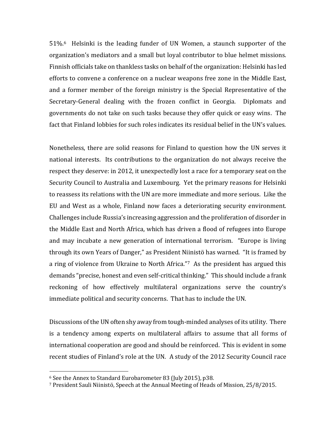51%.6 Helsinki is the leading funder of UN Women, a staunch supporter of the organization's mediators and a small but loyal contributor to blue helmet missions. Finnish officials take on thankless tasks on behalf of the organization: Helsinki has led efforts to convene a conference on a nuclear weapons free zone in the Middle East, and a former member of the foreign ministry is the Special Representative of the Secretary-General dealing with the frozen conflict in Georgia. Diplomats and governments do not take on such tasks because they offer quick or easy wins. The fact that Finland lobbies for such roles indicates its residual belief in the UN's values.

Nonetheless, there are solid reasons for Finland to question how the UN serves it national interests. Its contributions to the organization do not always receive the respect they deserve: in 2012, it unexpectedly lost a race for a temporary seat on the Security Council to Australia and Luxembourg. Yet the primary reasons for Helsinki to reassess its relations with the UN are more immediate and more serious. Like the EU and West as a whole, Finland now faces a deteriorating security environment. Challenges include Russia's increasing aggression and the proliferation of disorder in the Middle East and North Africa, which has driven a flood of refugees into Europe and may incubate a new generation of international terrorism. "Europe is living through its own Years of Danger," as President Niinistö has warned. "It is framed by a ring of violence from Ukraine to North Africa."7 As the president has argued this demands "precise, honest and even self-critical thinking." This should include a frank reckoning of how effectively multilateral organizations serve the country's immediate political and security concerns. That has to include the UN.

Discussions of the UN often shy away from tough-minded analyses of its utility. There is a tendency among experts on multilateral affairs to assume that all forms of international cooperation are good and should be reinforced. This is evident in some recent studies of Finland's role at the UN. A study of the 2012 Security Council race

l

<sup>6</sup> See the Annex to Standard Eurobarometer 83 (July 2015), p38.

<sup>7</sup> President Sauli Niinistö, Speech at the Annual Meeting of Heads of Mission, 25/8/2015.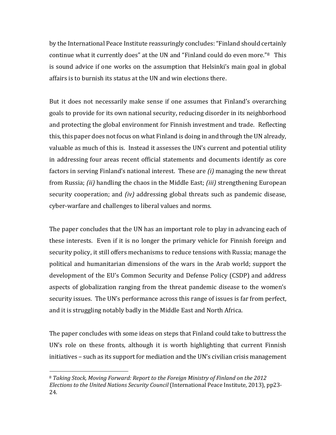by the International Peace Institute reassuringly concludes: "Finland should certainly continue what it currently does" at the UN and "Finland could do even more."8 This is sound advice if one works on the assumption that Helsinki's main goal in global affairs is to burnish its status at the UN and win elections there.

But it does not necessarily make sense if one assumes that Finland's overarching goals to provide for its own national security, reducing disorder in its neighborhood and protecting the global environment for Finnish investment and trade. Reflecting this, this paper does not focus on what Finland is doing in and through the UN already, valuable as much of this is. Instead it assesses the UN's current and potential utility in addressing four areas recent official statements and documents identify as core factors in serving Finland's national interest. These are *(i)* managing the new threat from Russia; *(ii)* handling the chaos in the Middle East; *(iii)* strengthening European security cooperation; and *(iv)* addressing global threats such as pandemic disease, cyber-warfare and challenges to liberal values and norms.

The paper concludes that the UN has an important role to play in advancing each of these interests. Even if it is no longer the primary vehicle for Finnish foreign and security policy, it still offers mechanisms to reduce tensions with Russia; manage the political and humanitarian dimensions of the wars in the Arab world; support the development of the EU's Common Security and Defense Policy (CSDP) and address aspects of globalization ranging from the threat pandemic disease to the women's security issues. The UN's performance across this range of issues is far from perfect, and it is struggling notably badly in the Middle East and North Africa.

The paper concludes with some ideas on steps that Finland could take to buttress the UN's role on these fronts, although it is worth highlighting that current Finnish initiatives – such as its support for mediation and the UN's civilian crisis management

l

<sup>8</sup> *Taking Stock, Moving Forward: Report to the Foreign Ministry of Finland on the 2012 Elections to the United Nations Security Council* (International Peace Institute, 2013), pp23- 24.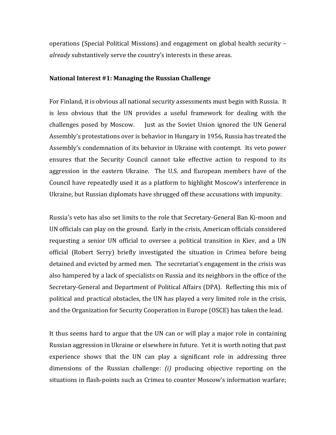operations (Special Political Missions) and engagement on global health security – *already* substantively serve the country's interests in these areas.

#### **National Interest #1: Managing the Russian Challenge**

For Finland, it is obvious all national security assessments must begin with Russia. It is less obvious that the UN provides a useful framework for dealing with the challenges posed by Moscow. Just as the Soviet Union ignored the UN General Assembly's protestations over is behavior in Hungary in 1956, Russia has treated the Assembly's condemnation of its behavior in Ukraine with contempt. Its veto power ensures that the Security Council cannot take effective action to respond to its aggression in the eastern Ukraine. The U.S. and European members have of the Council have repeatedly used it as a platform to highlight Moscow's interference in Ukraine, but Russian diplomats have shrugged off these accusations with impunity.

Russia's veto has also set limits to the role that Secretary-General Ban Ki-moon and UN officials can play on the ground. Early in the crisis, American officials considered requesting a senior UN official to oversee a political transition in Kiev, and a UN official (Robert Serry) briefly investigated the situation in Crimea before being detained and evicted by armed men. The secretariat's engagement in the crisis was also hampered by a lack of specialists on Russia and its neighbors in the office of the Secretary-General and Department of Political Affairs (DPA). Reflecting this mix of political and practical obstacles, the UN has played a very limited role in the crisis, and the Organization for Security Cooperation in Europe (OSCE) has taken the lead.

It thus seems hard to argue that the UN can or will play a major role in containing Russian aggression in Ukraine or elsewhere in future. Yet it is worth noting that past experience shows that the UN can play a significant role in addressing three dimensions of the Russian challenge: *(i)* producing objective reporting on the situations in flash-points such as Crimea to counter Moscow's information warfare;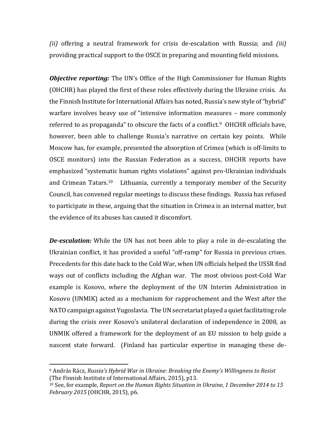*(ii)* offering a neutral framework for crisis de-escalation with Russia; and *(iii)* providing practical support to the OSCE in preparing and mounting field missions.

*Objective reporting:* The UN's Office of the High Commissioner for Human Rights (OHCHR) has played the first of these roles effectively during the Ukraine crisis. As the Finnish Institute for International Affairs has noted, Russia's new style of "hybrid" warfare involves heavy use of "intensive information measures – more commonly referred to as propaganda" to obscure the facts of a conflict.<sup>9</sup> OHCHR officials have, however, been able to challenge Russia's narrative on certain key points. While Moscow has, for example, presented the absorption of Crimea (which is off-limits to OSCE monitors) into the Russian Federation as a success, OHCHR reports have emphasized "systematic human rights violations" against pro-Ukrainian individuals and Crimean Tatars.10 Lithuania, currently a temporary member of the Security Council, has convened regular meetings to discuss these findings. Russia has refused to participate in these, arguing that the situation in Crimea is an internal matter, but the evidence of its abuses has caused it discomfort.

*De-escalation:* While the UN has not been able to play a role in de-escalating the Ukrainian conflict, it has provided a useful "off-ramp" for Russia in previous crises. Precedents for this date back to the Cold War, when UN officials helped the USSR find ways out of conflicts including the Afghan war. The most obvious post-Cold War example is Kosovo, where the deployment of the UN Interim Administration in Kosovo (UNMIK) acted as a mechanism for rapprochement and the West after the NATO campaign against Yugoslavia. The UN secretariat played a quiet facilitating role during the crisis over Kosovo's unilateral declaration of independence in 2008, as UNMIK offered a framework for the deployment of an EU mission to help guide a nascent state forward. (Finland has particular expertise in managing these de-

<sup>9</sup> András Rácz, *Russia's Hybrid War in Ukraine: Breaking the Enemy's Willingness to Resist* (The Finnish Institute of International Affairs, 2015), p13.

<sup>10</sup> See, for example, *Report on the Human Rights Situation in Ukraine, 1 December 2014 to 15 February 2015* (OHCHR, 2015), p6.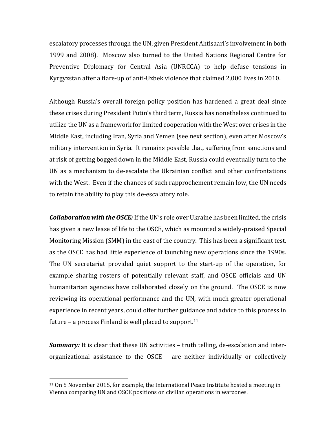escalatory processes through the UN, given President Ahtisaari's involvement in both 1999 and 2008). Moscow also turned to the United Nations Regional Centre for Preventive Diplomacy for Central Asia (UNRCCA) to help defuse tensions in Kyrgyzstan after a flare-up of anti-Uzbek violence that claimed 2,000 lives in 2010.

Although Russia's overall foreign policy position has hardened a great deal since these crises during President Putin's third term, Russia has nonetheless continued to utilize the UN as a framework for limited cooperation with the West over crises in the Middle East, including Iran, Syria and Yemen (see next section), even after Moscow's military intervention in Syria. It remains possible that, suffering from sanctions and at risk of getting bogged down in the Middle East, Russia could eventually turn to the UN as a mechanism to de-escalate the Ukrainian conflict and other confrontations with the West. Even if the chances of such rapprochement remain low, the UN needs to retain the ability to play this de-escalatory role.

*Collaboration with the OSCE:* If the UN's role over Ukraine has been limited, the crisis has given a new lease of life to the OSCE, which as mounted a widely-praised Special Monitoring Mission (SMM) in the east of the country. This has been a significant test, as the OSCE has had little experience of launching new operations since the 1990s. The UN secretariat provided quiet support to the start-up of the operation, for example sharing rosters of potentially relevant staff, and OSCE officials and UN humanitarian agencies have collaborated closely on the ground. The OSCE is now reviewing its operational performance and the UN, with much greater operational experience in recent years, could offer further guidance and advice to this process in future – a process Finland is well placed to support.<sup>11</sup>

*Summary:* It is clear that these UN activities – truth telling, de-escalation and interorganizational assistance to the OSCE – are neither individually or collectively

<sup>11</sup> On 5 November 2015, for example, the International Peace Institute hosted a meeting in Vienna comparing UN and OSCE positions on civilian operations in warzones.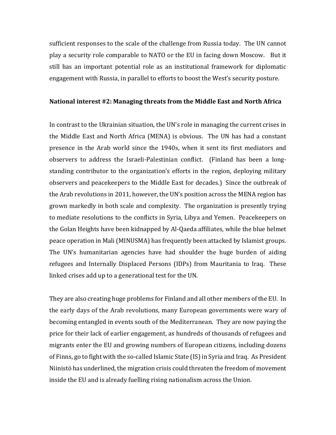sufficient responses to the scale of the challenge from Russia today. The UN cannot play a security role comparable to NATO or the EU in facing down Moscow. But it still has an important potential role as an institutional framework for diplomatic engagement with Russia, in parallel to efforts to boost the West's security posture.

#### **National interest #2: Managing threats from the Middle East and North Africa**

In contrast to the Ukrainian situation, the UN's role in managing the current crises in the Middle East and North Africa (MENA) is obvious. The UN has had a constant presence in the Arab world since the 1940s, when it sent its first mediators and observers to address the Israeli-Palestinian conflict. (Finland has been a longstanding contributor to the organization's efforts in the region, deploying military observers and peacekeepers to the Middle East for decades.) Since the outbreak of the Arab revolutions in 2011, however, the UN's position across the MENA region has grown markedly in both scale and complexity. The organization is presently trying to mediate resolutions to the conflicts in Syria, Libya and Yemen. Peacekeepers on the Golan Heights have been kidnapped by Al-Qaeda affiliates, while the blue helmet peace operation in Mali (MINUSMA) has frequently been attacked by Islamist groups. The UN's humanitarian agencies have had shoulder the huge burden of aiding refugees and Internally Displaced Persons (IDPs) from Mauritania to Iraq. These linked crises add up to a generational test for the UN.

They are also creating huge problems for Finland and all other members of the EU. In the early days of the Arab revolutions, many European governments were wary of becoming entangled in events south of the Mediterranean. They are now paying the price for their lack of earlier engagement, as hundreds of thousands of refugees and migrants enter the EU and growing numbers of European citizens, including dozens of Finns, go to fight with the so-called Islamic State (IS) in Syria and Iraq. As President Niinistö has underlined, the migration crisis could threaten the freedom of movement inside the EU and is already fuelling rising nationalism across the Union.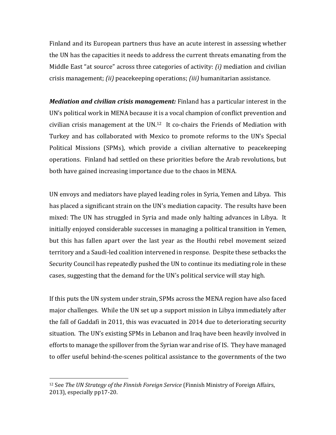Finland and its European partners thus have an acute interest in assessing whether the UN has the capacities it needs to address the current threats emanating from the Middle East "at source" across three categories of activity: *(i)* mediation and civilian crisis management; *(ii)* peacekeeping operations; *(iii)* humanitarian assistance.

*Mediation and civilian crisis management:* Finland has a particular interest in the UN's political work in MENA because it is a vocal champion of conflict prevention and civilian crisis management at the UN.12 It co-chairs the Friends of Mediation with Turkey and has collaborated with Mexico to promote reforms to the UN's Special Political Missions (SPMs), which provide a civilian alternative to peacekeeping operations. Finland had settled on these priorities before the Arab revolutions, but both have gained increasing importance due to the chaos in MENA.

UN envoys and mediators have played leading roles in Syria, Yemen and Libya. This has placed a significant strain on the UN's mediation capacity. The results have been mixed: The UN has struggled in Syria and made only halting advances in Libya. It initially enjoyed considerable successes in managing a political transition in Yemen, but this has fallen apart over the last year as the Houthi rebel movement seized territory and a Saudi-led coalition intervened in response. Despite these setbacks the Security Council has repeatedly pushed the UN to continue its mediating role in these cases, suggesting that the demand for the UN's political service will stay high.

If this puts the UN system under strain, SPMs across the MENA region have also faced major challenges. While the UN set up a support mission in Libya immediately after the fall of Gaddafi in 2011, this was evacuated in 2014 due to deteriorating security situation. The UN's existing SPMs in Lebanon and Iraq have been heavily involved in efforts to manage the spillover from the Syrian war and rise of IS. They have managed to offer useful behind-the-scenes political assistance to the governments of the two

<sup>12</sup> See *The UN Strategy of the Finnish Foreign Service* (Finnish Ministry of Foreign Affairs, 2013), especially pp17-20.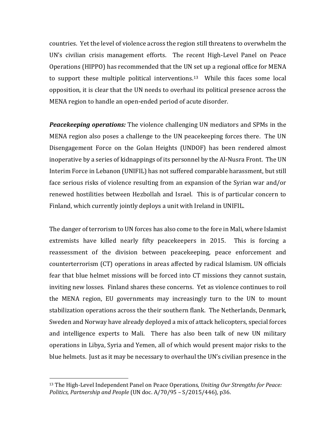countries. Yet the level of violence across the region still threatens to overwhelm the UN's civilian crisis management efforts. The recent High-Level Panel on Peace Operations (HIPPO) has recommended that the UN set up a regional office for MENA to support these multiple political interventions.13 While this faces some local opposition, it is clear that the UN needs to overhaul its political presence across the MENA region to handle an open-ended period of acute disorder.

*Peacekeeping operations:* The violence challenging UN mediators and SPMs in the MENA region also poses a challenge to the UN peacekeeping forces there. The UN Disengagement Force on the Golan Heights (UNDOF) has been rendered almost inoperative by a series of kidnappings of its personnel by the Al-Nusra Front. The UN Interim Force in Lebanon (UNIFIL) has not suffered comparable harassment, but still face serious risks of violence resulting from an expansion of the Syrian war and/or renewed hostilities between Hezbollah and Israel. This is of particular concern to Finland, which currently jointly deploys a unit with Ireland in UNIFIL.

The danger of terrorism to UN forces has also come to the fore in Mali, where Islamist extremists have killed nearly fifty peacekeepers in 2015. This is forcing a reassessment of the division between peacekeeping, peace enforcement and counterterrorism (CT) operations in areas affected by radical Islamism. UN officials fear that blue helmet missions will be forced into CT missions they cannot sustain, inviting new losses. Finland shares these concerns. Yet as violence continues to roil the MENA region, EU governments may increasingly turn to the UN to mount stabilization operations across the their southern flank. The Netherlands, Denmark, Sweden and Norway have already deployed a mix of attack helicopters, special forces and intelligence experts to Mali. There has also been talk of new UN military operations in Libya, Syria and Yemen, all of which would present major risks to the blue helmets. Just as it may be necessary to overhaul the UN's civilian presence in the

<sup>13</sup> The High-Level Independent Panel on Peace Operations, *Uniting Our Strengths for Peace: Politics, Partnership and People* (UN doc. A/70/95 – S/2015/446), p36.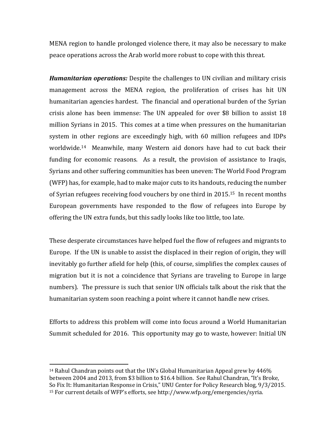MENA region to handle prolonged violence there, it may also be necessary to make peace operations across the Arab world more robust to cope with this threat.

*Humanitarian operations:* Despite the challenges to UN civilian and military crisis management across the MENA region, the proliferation of crises has hit UN humanitarian agencies hardest. The financial and operational burden of the Syrian crisis alone has been immense: The UN appealed for over \$8 billion to assist 18 million Syrians in 2015. This comes at a time when pressures on the humanitarian system in other regions are exceedingly high, with 60 million refugees and IDPs worldwide.14 Meanwhile, many Western aid donors have had to cut back their funding for economic reasons. As a result, the provision of assistance to Iraqis, Syrians and other suffering communities has been uneven: The World Food Program (WFP) has, for example, had to make major cuts to its handouts, reducing the number of Syrian refugees receiving food vouchers by one third in 2015. <sup>15</sup> In recent months European governments have responded to the flow of refugees into Europe by offering the UN extra funds, but this sadly looks like too little, too late.

These desperate circumstances have helped fuel the flow of refugees and migrants to Europe. If the UN is unable to assist the displaced in their region of origin, they will inevitably go further afield for help (this, of course, simplifies the complex causes of migration but it is not a coincidence that Syrians are traveling to Europe in large numbers). The pressure is such that senior UN officials talk about the risk that the humanitarian system soon reaching a point where it cannot handle new crises.

Efforts to address this problem will come into focus around a World Humanitarian Summit scheduled for 2016. This opportunity may go to waste, however: Initial UN

<sup>14</sup> Rahul Chandran points out that the UN's Global Humanitarian Appeal grew by 446% between 2004 and 2013, from \$3 billion to \$16.4 billion. See Rahul Chandran, "It's Broke, So Fix It: Humanitarian Response in Crisis," UNU Center for Policy Research blog, 9/3/2015. <sup>15</sup> For current details of WFP's efforts, see http://www.wfp.org/emergencies/syria.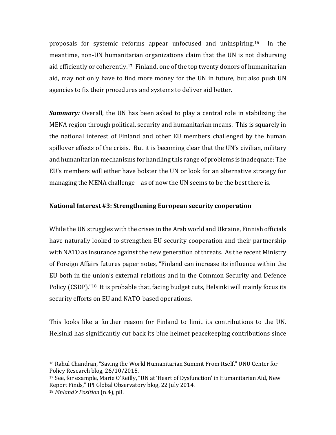proposals for systemic reforms appear unfocused and uninspiring.16 In the meantime, non-UN humanitarian organizations claim that the UN is not disbursing aid efficiently or coherently.17 Finland, one of the top twenty donors of humanitarian aid, may not only have to find more money for the UN in future, but also push UN agencies to fix their procedures and systems to deliver aid better.

*Summary:* Overall, the UN has been asked to play a central role in stabilizing the MENA region through political, security and humanitarian means. This is squarely in the national interest of Finland and other EU members challenged by the human spillover effects of the crisis. But it is becoming clear that the UN's civilian, military and humanitarian mechanisms for handling this range of problems is inadequate: The EU's members will either have bolster the UN or look for an alternative strategy for managing the MENA challenge – as of now the UN seems to be the best there is.

# **National Interest #3: Strengthening European security cooperation**

While the UN struggles with the crises in the Arab world and Ukraine, Finnish officials have naturally looked to strengthen EU security cooperation and their partnership with NATO as insurance against the new generation of threats. As the recent Ministry of Foreign Affairs futures paper notes, "Finland can increase its influence within the EU both in the union's external relations and in the Common Security and Defence Policy (CSDP)."<sup>18</sup> It is probable that, facing budget cuts, Helsinki will mainly focus its security efforts on EU and NATO-based operations.

This looks like a further reason for Finland to limit its contributions to the UN. Helsinki has significantly cut back its blue helmet peacekeeping contributions since

<sup>16</sup> Rahul Chandran, "Saving the World Humanitarian Summit From Itself," UNU Center for Policy Research blog, 26/10/2015.

<sup>17</sup> See, for example, Marie O'Reilly, "UN at 'Heart of Dysfunction' in Humanitarian Aid, New Report Finds," IPI Global Observatory blog, 22 July 2014. <sup>18</sup> *Finland's Position* (n.4), p8.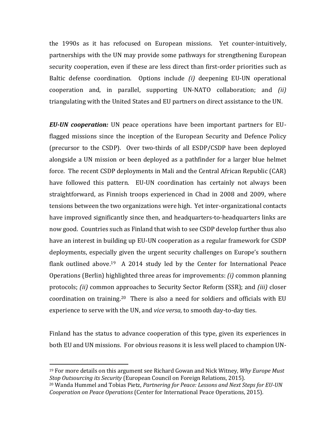the 1990s as it has refocused on European missions. Yet counter-intuitively, partnerships with the UN may provide some pathways for strengthening European security cooperation, even if these are less direct than first-order priorities such as Baltic defense coordination. Options include *(i)* deepening EU-UN operational cooperation and, in parallel, supporting UN-NATO collaboration; and *(ii)* triangulating with the United States and EU partners on direct assistance to the UN.

*EU-UN cooperation:* UN peace operations have been important partners for EUflagged missions since the inception of the European Security and Defence Policy (precursor to the CSDP). Over two-thirds of all ESDP/CSDP have been deployed alongside a UN mission or been deployed as a pathfinder for a larger blue helmet force. The recent CSDP deployments in Mali and the Central African Republic (CAR) have followed this pattern. EU-UN coordination has certainly not always been straightforward, as Finnish troops experienced in Chad in 2008 and 2009, where tensions between the two organizations were high. Yet inter-organizational contacts have improved significantly since then, and headquarters-to-headquarters links are now good. Countries such as Finland that wish to see CSDP develop further thus also have an interest in building up EU-UN cooperation as a regular framework for CSDP deployments, especially given the urgent security challenges on Europe's southern flank outlined above.<sup>19</sup> A 2014 study led by the Center for International Peace Operations (Berlin) highlighted three areas for improvements: *(i)* common planning protocols; *(ii)* common approaches to Security Sector Reform (SSR); and *(iii)* closer coordination on training.20 There is also a need for soldiers and officials with EU experience to serve with the UN, and *vice versa*, to smooth day-to-day ties.

Finland has the status to advance cooperation of this type, given its experiences in both EU and UN missions. For obvious reasons it is less well placed to champion UN-

<sup>19</sup> For more details on this argument see Richard Gowan and Nick Witney, *Why Europe Must Stop Outsourcing its Security* (European Council on Foreign Relations, 2015).

<sup>20</sup> Wanda Hummel and Tobias Pietz, *Partnering for Peace: Lessons and Next Steps for EU-UN Cooperation on Peace Operations* (Center for International Peace Operations, 2015).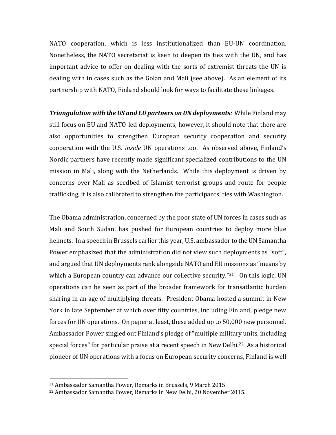NATO cooperation, which is less institutionalized than EU-UN coordination. Nonetheless, the NATO secretariat is keen to deepen its ties with the UN, and has important advice to offer on dealing with the sorts of extremist threats the UN is dealing with in cases such as the Golan and Mali (see above). As an element of its partnership with NATO, Finland should look for ways to facilitate these linkages.

*Triangulation with the US and EU partners on UN deployments:* While Finland may still focus on EU and NATO-led deployments, however, it should note that there are also opportunities to strengthen European security cooperation and security cooperation with the U.S. *inside* UN operations too. As observed above, Finland's Nordic partners have recently made significant specialized contributions to the UN mission in Mali, along with the Netherlands. While this deployment is driven by concerns over Mali as seedbed of Islamist terrorist groups and route for people trafficking, it is also calibrated to strengthen the participants' ties with Washington.

The Obama administration, concerned by the poor state of UN forces in cases such as Mali and South Sudan, has pushed for European countries to deploy more blue helmets. In a speech in Brussels earlier this year, U.S. ambassador to the UN Samantha Power emphasized that the administration did not view such deployments as "soft", and argued that UN deployments rank alongside NATO and EU missions as "means by which a European country can advance our collective security."<sup>21</sup> On this logic, UN operations can be seen as part of the broader framework for transatlantic burden sharing in an age of multiplying threats. President Obama hosted a summit in New York in late September at which over fifty countries, including Finland, pledge new forces for UN operations. On paper at least, these added up to 50,000 new personnel. Ambassador Power singled out Finland's pledge of "multiple military units, including special forces" for particular praise at a recent speech in New Delhi.<sup>22</sup> As a historical pioneer of UN operations with a focus on European security concerns, Finland is well

<sup>21</sup> Ambassador Samantha Power, Remarks in Brussels, 9 March 2015.

<sup>22</sup> Ambassador Samantha Power, Remarks in New Delhi, 20 November 2015.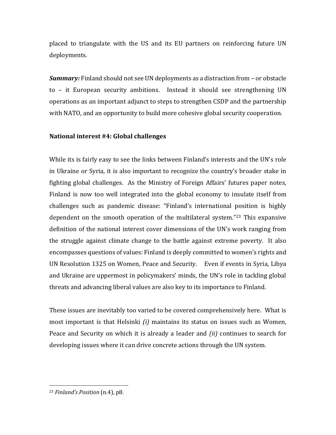placed to triangulate with the US and its EU partners on reinforcing future UN deployments.

*Summary:* Finland should not see UN deployments as a distraction from – or obstacle to – it European security ambitions. Instead it should see strengthening UN operations as an important adjunct to steps to strengthen CSDP and the partnership with NATO, and an opportunity to build more cohesive global security cooperation.

## **National interest #4: Global challenges**

While its is fairly easy to see the links between Finland's interests and the UN's role in Ukraine or Syria, it is also important to recognize the country's broader stake in fighting global challenges. As the Ministry of Foreign Affairs' futures paper notes, Finland is now too well integrated into the global economy to insulate itself from challenges such as pandemic disease: "Finland's international position is highly dependent on the smooth operation of the multilateral system."<sup>23</sup> This expansive definition of the national interest cover dimensions of the UN's work ranging from the struggle against climate change to the battle against extreme poverty. It also encompasses questions of values: Finland is deeply committed to women's rights and UN Resolution 1325 on Women, Peace and Security. Even if events in Syria, Libya and Ukraine are uppermost in policymakers' minds, the UN's role in tackling global threats and advancing liberal values are also key to its importance to Finland.

These issues are inevitably too varied to be covered comprehensively here. What is most important is that Helsinki *(i)* maintains its status on issues such as Women, Peace and Security on which it is already a leader and *(ii)* continues to search for developing issues where it can drive concrete actions through the UN system.

<sup>23</sup> *Finland's Position* (n.4), p8.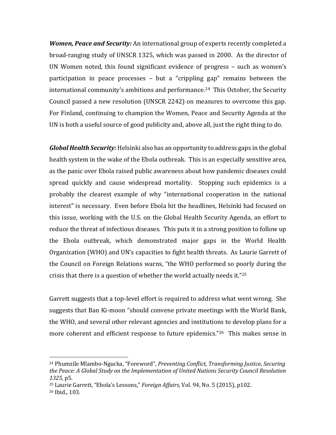*Women, Peace and Security:* An international group of experts recently completed a broad-ranging study of UNSCR 1325, which was passed in 2000. As the director of UN Women noted, this found significant evidence of progress – such as women's participation in peace processes – but a "crippling gap" remains between the international community's ambitions and performance.24 This October, the Security Council passed a new resolution (UNSCR 2242) on measures to overcome this gap. For Finland, continuing to champion the Women, Peace and Security Agenda at the UN is both a useful source of good publicity and, above all, just the right thing to do.

*Global Health Security:* Helsinki also has an opportunity to address gaps in the global health system in the wake of the Ebola outbreak. This is an especially sensitive area, as the panic over Ebola raised public awareness about how pandemic diseases could spread quickly and cause widespread mortality. Stopping such epidemics is a probably the clearest example of why "international cooperation in the national interest" is necessary. Even before Ebola hit the headlines, Helsinki had focused on this issue, working with the U.S. on the Global Health Security Agenda, an effort to reduce the threat of infectious diseases. This puts it in a strong position to follow up the Ebola outbreak, which demonstrated major gaps in the World Health Organization (WHO) and UN's capacities to fight health threats. As Laurie Garrett of the Council on Foreign Relations warns, "the WHO performed so poorly during the crisis that there is a question of whether the world actually needs it."<sup>25</sup>

Garrett suggests that a top-level effort is required to address what went wrong. She suggests that Ban Ki-moon "should convene private meetings with the World Bank, the WHO, and several other relevant agencies and institutions to develop plans for a more coherent and efficient response to future epidemics."<sup>26</sup> This makes sense in

<sup>24</sup> Phumzile Mlambo-Ngucka, "Foreword", *Preventing Conflict, Transforming Justice, Securing the Peace: A Global Study on the Implementation of United Nations Security Council Resolution 1325*, p5.

<sup>25</sup> Laurie Garrett, "Ebola's Lessons," *Foreign Affairs*, Vol. 94, No. 5 (2015), p102.

<sup>26</sup> Ibid., 103.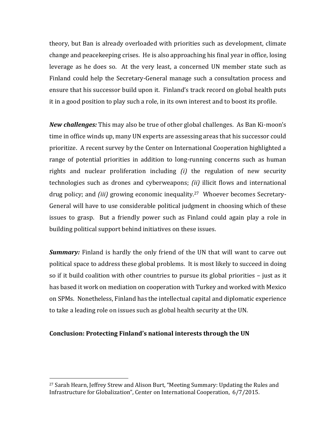theory, but Ban is already overloaded with priorities such as development, climate change and peacekeeping crises. He is also approaching his final year in office, losing leverage as he does so. At the very least, a concerned UN member state such as Finland could help the Secretary-General manage such a consultation process and ensure that his successor build upon it. Finland's track record on global health puts it in a good position to play such a role, in its own interest and to boost its profile.

*New challenges:* This may also be true of other global challenges. As Ban Ki-moon's time in office winds up, many UN experts are assessing areas that his successor could prioritize. A recent survey by the Center on International Cooperation highlighted a range of potential priorities in addition to long-running concerns such as human rights and nuclear proliferation including *(i)* the regulation of new security technologies such as drones and cyberweapons; *(ii)* illicit flows and international drug policy; and *(iii)* growing economic inequality.27 Whoever becomes Secretary-General will have to use considerable political judgment in choosing which of these issues to grasp. But a friendly power such as Finland could again play a role in building political support behind initiatives on these issues.

*Summary:* Finland is hardly the only friend of the UN that will want to carve out political space to address these global problems. It is most likely to succeed in doing so if it build coalition with other countries to pursue its global priorities – just as it has based it work on mediation on cooperation with Turkey and worked with Mexico on SPMs. Nonetheless, Finland has the intellectual capital and diplomatic experience to take a leading role on issues such as global health security at the UN.

### **Conclusion: Protecting Finland's national interests through the UN**

<sup>27</sup> Sarah Hearn, Jeffrey Strew and Alison Burt, "Meeting Summary: Updating the Rules and Infrastructure for Globalization", Center on International Cooperation, 6/7/2015.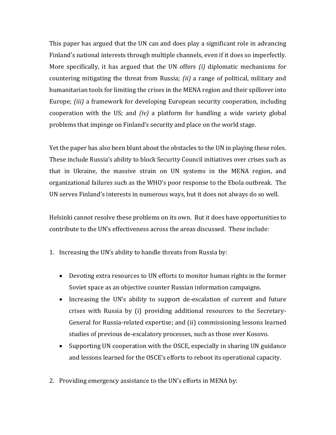This paper has argued that the UN can and does play a significant role in advancing Finland's national interests through multiple channels, even if it does so imperfectly. More specifically, it has argued that the UN offers *(i)* diplomatic mechanisms for countering mitigating the threat from Russia; *(ii)* a range of political, military and humanitarian tools for limiting the crises in the MENA region and their spillover into Europe; *(iii)* a framework for developing European security cooperation, including cooperation with the US; and *(iv)* a platform for handling a wide variety global problems that impinge on Finland's security and place on the world stage.

Yet the paper has also been blunt about the obstacles to the UN in playing these roles. These include Russia's ability to block Security Council initiatives over crises such as that in Ukraine, the massive strain on UN systems in the MENA region, and organizational failures such as the WHO's poor response to the Ebola outbreak. The UN serves Finland's interests in numerous ways, but it does not always do so well.

Helsinki cannot resolve these problems on its own. But it does have opportunities to contribute to the UN's effectiveness across the areas discussed. These include:

- 1. Increasing the UN's ability to handle threats from Russia by:
	- Devoting extra resources to UN efforts to monitor human rights in the former Soviet space as an objective counter Russian information campaigns.
	- Increasing the UN's ability to support de-escalation of current and future crises with Russia by (i) providing additional resources to the Secretary-General for Russia-related expertise; and (ii) commissioning lessons learned studies of previous de-escalatory processes, such as those over Kosovo.
	- Supporting UN cooperation with the OSCE, especially in sharing UN guidance and lessons learned for the OSCE's efforts to reboot its operational capacity.
- 2. Providing emergency assistance to the UN's efforts in MENA by: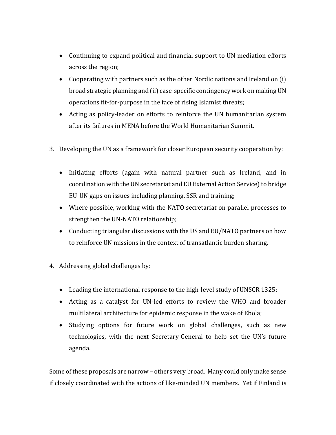- Continuing to expand political and financial support to UN mediation efforts across the region;
- Cooperating with partners such as the other Nordic nations and Ireland on (i) broad strategic planning and (ii) case-specific contingency work on making UN operations fit-for-purpose in the face of rising Islamist threats;
- Acting as policy-leader on efforts to reinforce the UN humanitarian system after its failures in MENA before the World Humanitarian Summit.
- 3. Developing the UN as a framework for closer European security cooperation by:
	- Initiating efforts (again with natural partner such as Ireland, and in coordination with the UN secretariat and EU External Action Service) to bridge EU-UN gaps on issues including planning, SSR and training;
	- Where possible, working with the NATO secretariat on parallel processes to strengthen the UN-NATO relationship;
	- Conducting triangular discussions with the US and EU/NATO partners on how to reinforce UN missions in the context of transatlantic burden sharing.
- 4. Addressing global challenges by:
	- Leading the international response to the high-level study of UNSCR 1325;
	- Acting as a catalyst for UN-led efforts to review the WHO and broader multilateral architecture for epidemic response in the wake of Ebola;
	- Studying options for future work on global challenges, such as new technologies, with the next Secretary-General to help set the UN's future agenda.

Some of these proposals are narrow – others very broad. Many could only make sense if closely coordinated with the actions of like-minded UN members. Yet if Finland is